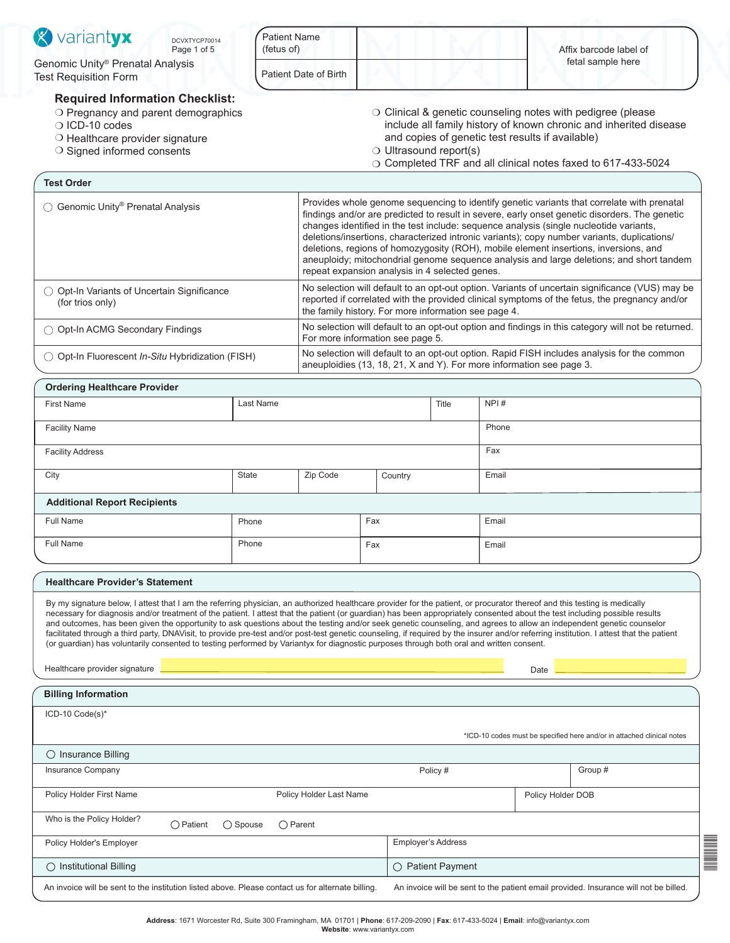| Patient Date of Birth<br><b>Required Information Checklist:</b><br>$\circ$ Clinical & genetic counseling notes with pedigree (please<br>O Pregnancy and parent demographics<br>include all family history of known chronic and inherited disease<br>O ICD-10 codes<br>and copies of genetic test results if available)<br>O Healthcare provider signature<br>$\circ$ Ultrasound report(s)<br>O Signed informed consents<br>O Completed TRF and all clinical notes faxed to 617-433-5024<br><b>Test Order</b><br>Provides whole genome sequencing to identify genetic variants that correlate with prenatal<br>findings and/or are predicted to result in severe, early onset genetic disorders. The genetic<br>changes identified in the test include: sequence analysis (single nucleotide variants,<br>deletions/insertions, characterized intronic variants); copy number variants, duplications/<br>deletions, regions of homozygosity (ROH), mobile element insertions, inversions, and<br>aneuploidy; mitochondrial genome sequence analysis and large deletions; and short tandem<br>repeat expansion analysis in 4 selected genes.<br>No selection will default to an opt-out option. Variants of uncertain significance (VUS) may be<br>◯ Opt-In Variants of Uncertain Significance<br>reported if correlated with the provided clinical symptoms of the fetus, the pregnancy and/or<br>(for trios only)<br>the family history. For more information see page 4.<br>No selection will default to an opt-out option and findings in this category will not be returned.<br>◯ Opt-In ACMG Secondary Findings<br>For more information see page 5.<br>No selection will default to an opt-out option. Rapid FISH includes analysis for the common<br>◯ Opt-In Fluorescent In-Situ Hybridization (FISH)<br>aneuploidies (13, 18, 21, X and Y). For more information see page 3.<br><b>Ordering Healthcare Provider</b><br>NPI#<br><b>First Name</b><br>Last Name<br>Title<br><b>Facility Name</b><br>Phone<br>Fax<br><b>Facility Address</b><br><b>State</b><br>Zip Code<br>City<br>Email<br>Country<br><b>Additional Report Recipients</b><br>Fax<br><b>Full Name</b><br>Phone<br>Email<br>Full Name<br>Phone<br>Fax<br>Email<br><b>Healthcare Provider's Statement</b><br>By my signature below, I attest that I am the referring physician, an authorized healthcare provider for the patient, or procurator thereof and this testing is medically<br>necessary for diagnosis and/or treatment of the patient. I attest that the patient (or guardian) has been appropriately consented about the test including possible results<br>and outcomes, has been given the opportunity to ask questions about the testing and/or seek genetic counseling, and agrees to allow an independent genetic counselor<br>facilitated through a third party, DNAVisit, to provide pre-test and/or post-test genetic counseling, if required by the insurer and/or referring institution. I attest that the patient<br>(or guardian) has voluntarily consented to testing performed by Variantyx for diagnostic purposes through both oral and written consent.<br>Healthcare provider signature<br>Date<br><b>Billing Information</b><br>ICD-10 Code(s)*<br>*ICD-10 codes must be specified here and/or in attached clinical notes<br>$\bigcirc$ Insurance Billing<br>Insurance Company<br>Group #<br>Policy #<br>Policy Holder First Name<br>Policy Holder Last Name<br>Policy Holder DOB<br>Who is the Policy Holder?<br>$\bigcirc$ Patient<br>$\bigcirc$ Spouse<br>$\bigcirc$ Parent<br>Policy Holder's Employer<br>Employer's Address<br>$\bigcirc$ Institutional Billing<br>$\bigcirc$ Patient Payment<br>An invoice will be sent to the patient email provided. Insurance will not be billed.<br>An invoice will be sent to the institution listed above. Please contact us for alternate billing. | <b>X</b> variantyx<br>DCVXTYCP70014<br>Page 1 of 5               | <b>Patient Name</b><br>(fetus of) |  |  |  |                   | Affix barcode label of |  |
|----------------------------------------------------------------------------------------------------------------------------------------------------------------------------------------------------------------------------------------------------------------------------------------------------------------------------------------------------------------------------------------------------------------------------------------------------------------------------------------------------------------------------------------------------------------------------------------------------------------------------------------------------------------------------------------------------------------------------------------------------------------------------------------------------------------------------------------------------------------------------------------------------------------------------------------------------------------------------------------------------------------------------------------------------------------------------------------------------------------------------------------------------------------------------------------------------------------------------------------------------------------------------------------------------------------------------------------------------------------------------------------------------------------------------------------------------------------------------------------------------------------------------------------------------------------------------------------------------------------------------------------------------------------------------------------------------------------------------------------------------------------------------------------------------------------------------------------------------------------------------------------------------------------------------------------------------------------------------------------------------------------------------------------------------------------------------------------------------------------------------------------------------------------------------------------------------------------------------------------------------------------------------------------------------------------------------------------------------------------------------------------------------------------------------------------------------------------------------------------------------------------------------------------------------------------------------------------------------------------------------------------------------------------------------------------------------------------------------------------------------------------------------------------------------------------------------------------------------------------------------------------------------------------------------------------------------------------------------------------------------------------------------------------------------------------------------------------------------------------------------------------------------------------------------------------------------------------------------------------------------------------------------------------------------------------------------------------------------------------------------------------------------------------------------------------------------------------------------------------------------------------------------------------------------------------------------------------------------------------------------------------------------------------------------------------------------------------------------------------------------------------------------------------------------------------------------------------------------------------------------------------------------|------------------------------------------------------------------|-----------------------------------|--|--|--|-------------------|------------------------|--|
|                                                                                                                                                                                                                                                                                                                                                                                                                                                                                                                                                                                                                                                                                                                                                                                                                                                                                                                                                                                                                                                                                                                                                                                                                                                                                                                                                                                                                                                                                                                                                                                                                                                                                                                                                                                                                                                                                                                                                                                                                                                                                                                                                                                                                                                                                                                                                                                                                                                                                                                                                                                                                                                                                                                                                                                                                                                                                                                                                                                                                                                                                                                                                                                                                                                                                                                                                                                                                                                                                                                                                                                                                                                                                                                                                                                                                                                                                                    | Genomic Unity® Prenatal Analysis<br><b>Test Requisition Form</b> |                                   |  |  |  | fetal sample here |                        |  |
|                                                                                                                                                                                                                                                                                                                                                                                                                                                                                                                                                                                                                                                                                                                                                                                                                                                                                                                                                                                                                                                                                                                                                                                                                                                                                                                                                                                                                                                                                                                                                                                                                                                                                                                                                                                                                                                                                                                                                                                                                                                                                                                                                                                                                                                                                                                                                                                                                                                                                                                                                                                                                                                                                                                                                                                                                                                                                                                                                                                                                                                                                                                                                                                                                                                                                                                                                                                                                                                                                                                                                                                                                                                                                                                                                                                                                                                                                                    |                                                                  |                                   |  |  |  |                   |                        |  |
|                                                                                                                                                                                                                                                                                                                                                                                                                                                                                                                                                                                                                                                                                                                                                                                                                                                                                                                                                                                                                                                                                                                                                                                                                                                                                                                                                                                                                                                                                                                                                                                                                                                                                                                                                                                                                                                                                                                                                                                                                                                                                                                                                                                                                                                                                                                                                                                                                                                                                                                                                                                                                                                                                                                                                                                                                                                                                                                                                                                                                                                                                                                                                                                                                                                                                                                                                                                                                                                                                                                                                                                                                                                                                                                                                                                                                                                                                                    |                                                                  |                                   |  |  |  |                   |                        |  |
|                                                                                                                                                                                                                                                                                                                                                                                                                                                                                                                                                                                                                                                                                                                                                                                                                                                                                                                                                                                                                                                                                                                                                                                                                                                                                                                                                                                                                                                                                                                                                                                                                                                                                                                                                                                                                                                                                                                                                                                                                                                                                                                                                                                                                                                                                                                                                                                                                                                                                                                                                                                                                                                                                                                                                                                                                                                                                                                                                                                                                                                                                                                                                                                                                                                                                                                                                                                                                                                                                                                                                                                                                                                                                                                                                                                                                                                                                                    | ◯ Genomic Unity <sup>®</sup> Prenatal Analysis                   |                                   |  |  |  |                   |                        |  |
|                                                                                                                                                                                                                                                                                                                                                                                                                                                                                                                                                                                                                                                                                                                                                                                                                                                                                                                                                                                                                                                                                                                                                                                                                                                                                                                                                                                                                                                                                                                                                                                                                                                                                                                                                                                                                                                                                                                                                                                                                                                                                                                                                                                                                                                                                                                                                                                                                                                                                                                                                                                                                                                                                                                                                                                                                                                                                                                                                                                                                                                                                                                                                                                                                                                                                                                                                                                                                                                                                                                                                                                                                                                                                                                                                                                                                                                                                                    |                                                                  |                                   |  |  |  |                   |                        |  |
|                                                                                                                                                                                                                                                                                                                                                                                                                                                                                                                                                                                                                                                                                                                                                                                                                                                                                                                                                                                                                                                                                                                                                                                                                                                                                                                                                                                                                                                                                                                                                                                                                                                                                                                                                                                                                                                                                                                                                                                                                                                                                                                                                                                                                                                                                                                                                                                                                                                                                                                                                                                                                                                                                                                                                                                                                                                                                                                                                                                                                                                                                                                                                                                                                                                                                                                                                                                                                                                                                                                                                                                                                                                                                                                                                                                                                                                                                                    |                                                                  |                                   |  |  |  |                   |                        |  |
|                                                                                                                                                                                                                                                                                                                                                                                                                                                                                                                                                                                                                                                                                                                                                                                                                                                                                                                                                                                                                                                                                                                                                                                                                                                                                                                                                                                                                                                                                                                                                                                                                                                                                                                                                                                                                                                                                                                                                                                                                                                                                                                                                                                                                                                                                                                                                                                                                                                                                                                                                                                                                                                                                                                                                                                                                                                                                                                                                                                                                                                                                                                                                                                                                                                                                                                                                                                                                                                                                                                                                                                                                                                                                                                                                                                                                                                                                                    |                                                                  |                                   |  |  |  |                   |                        |  |
|                                                                                                                                                                                                                                                                                                                                                                                                                                                                                                                                                                                                                                                                                                                                                                                                                                                                                                                                                                                                                                                                                                                                                                                                                                                                                                                                                                                                                                                                                                                                                                                                                                                                                                                                                                                                                                                                                                                                                                                                                                                                                                                                                                                                                                                                                                                                                                                                                                                                                                                                                                                                                                                                                                                                                                                                                                                                                                                                                                                                                                                                                                                                                                                                                                                                                                                                                                                                                                                                                                                                                                                                                                                                                                                                                                                                                                                                                                    |                                                                  |                                   |  |  |  |                   |                        |  |
|                                                                                                                                                                                                                                                                                                                                                                                                                                                                                                                                                                                                                                                                                                                                                                                                                                                                                                                                                                                                                                                                                                                                                                                                                                                                                                                                                                                                                                                                                                                                                                                                                                                                                                                                                                                                                                                                                                                                                                                                                                                                                                                                                                                                                                                                                                                                                                                                                                                                                                                                                                                                                                                                                                                                                                                                                                                                                                                                                                                                                                                                                                                                                                                                                                                                                                                                                                                                                                                                                                                                                                                                                                                                                                                                                                                                                                                                                                    |                                                                  |                                   |  |  |  |                   |                        |  |
|                                                                                                                                                                                                                                                                                                                                                                                                                                                                                                                                                                                                                                                                                                                                                                                                                                                                                                                                                                                                                                                                                                                                                                                                                                                                                                                                                                                                                                                                                                                                                                                                                                                                                                                                                                                                                                                                                                                                                                                                                                                                                                                                                                                                                                                                                                                                                                                                                                                                                                                                                                                                                                                                                                                                                                                                                                                                                                                                                                                                                                                                                                                                                                                                                                                                                                                                                                                                                                                                                                                                                                                                                                                                                                                                                                                                                                                                                                    |                                                                  |                                   |  |  |  |                   |                        |  |
|                                                                                                                                                                                                                                                                                                                                                                                                                                                                                                                                                                                                                                                                                                                                                                                                                                                                                                                                                                                                                                                                                                                                                                                                                                                                                                                                                                                                                                                                                                                                                                                                                                                                                                                                                                                                                                                                                                                                                                                                                                                                                                                                                                                                                                                                                                                                                                                                                                                                                                                                                                                                                                                                                                                                                                                                                                                                                                                                                                                                                                                                                                                                                                                                                                                                                                                                                                                                                                                                                                                                                                                                                                                                                                                                                                                                                                                                                                    |                                                                  |                                   |  |  |  |                   |                        |  |
|                                                                                                                                                                                                                                                                                                                                                                                                                                                                                                                                                                                                                                                                                                                                                                                                                                                                                                                                                                                                                                                                                                                                                                                                                                                                                                                                                                                                                                                                                                                                                                                                                                                                                                                                                                                                                                                                                                                                                                                                                                                                                                                                                                                                                                                                                                                                                                                                                                                                                                                                                                                                                                                                                                                                                                                                                                                                                                                                                                                                                                                                                                                                                                                                                                                                                                                                                                                                                                                                                                                                                                                                                                                                                                                                                                                                                                                                                                    |                                                                  |                                   |  |  |  |                   |                        |  |
|                                                                                                                                                                                                                                                                                                                                                                                                                                                                                                                                                                                                                                                                                                                                                                                                                                                                                                                                                                                                                                                                                                                                                                                                                                                                                                                                                                                                                                                                                                                                                                                                                                                                                                                                                                                                                                                                                                                                                                                                                                                                                                                                                                                                                                                                                                                                                                                                                                                                                                                                                                                                                                                                                                                                                                                                                                                                                                                                                                                                                                                                                                                                                                                                                                                                                                                                                                                                                                                                                                                                                                                                                                                                                                                                                                                                                                                                                                    |                                                                  |                                   |  |  |  |                   |                        |  |
|                                                                                                                                                                                                                                                                                                                                                                                                                                                                                                                                                                                                                                                                                                                                                                                                                                                                                                                                                                                                                                                                                                                                                                                                                                                                                                                                                                                                                                                                                                                                                                                                                                                                                                                                                                                                                                                                                                                                                                                                                                                                                                                                                                                                                                                                                                                                                                                                                                                                                                                                                                                                                                                                                                                                                                                                                                                                                                                                                                                                                                                                                                                                                                                                                                                                                                                                                                                                                                                                                                                                                                                                                                                                                                                                                                                                                                                                                                    |                                                                  |                                   |  |  |  |                   |                        |  |
|                                                                                                                                                                                                                                                                                                                                                                                                                                                                                                                                                                                                                                                                                                                                                                                                                                                                                                                                                                                                                                                                                                                                                                                                                                                                                                                                                                                                                                                                                                                                                                                                                                                                                                                                                                                                                                                                                                                                                                                                                                                                                                                                                                                                                                                                                                                                                                                                                                                                                                                                                                                                                                                                                                                                                                                                                                                                                                                                                                                                                                                                                                                                                                                                                                                                                                                                                                                                                                                                                                                                                                                                                                                                                                                                                                                                                                                                                                    |                                                                  |                                   |  |  |  |                   |                        |  |
|                                                                                                                                                                                                                                                                                                                                                                                                                                                                                                                                                                                                                                                                                                                                                                                                                                                                                                                                                                                                                                                                                                                                                                                                                                                                                                                                                                                                                                                                                                                                                                                                                                                                                                                                                                                                                                                                                                                                                                                                                                                                                                                                                                                                                                                                                                                                                                                                                                                                                                                                                                                                                                                                                                                                                                                                                                                                                                                                                                                                                                                                                                                                                                                                                                                                                                                                                                                                                                                                                                                                                                                                                                                                                                                                                                                                                                                                                                    |                                                                  |                                   |  |  |  |                   |                        |  |
|                                                                                                                                                                                                                                                                                                                                                                                                                                                                                                                                                                                                                                                                                                                                                                                                                                                                                                                                                                                                                                                                                                                                                                                                                                                                                                                                                                                                                                                                                                                                                                                                                                                                                                                                                                                                                                                                                                                                                                                                                                                                                                                                                                                                                                                                                                                                                                                                                                                                                                                                                                                                                                                                                                                                                                                                                                                                                                                                                                                                                                                                                                                                                                                                                                                                                                                                                                                                                                                                                                                                                                                                                                                                                                                                                                                                                                                                                                    |                                                                  |                                   |  |  |  |                   |                        |  |
|                                                                                                                                                                                                                                                                                                                                                                                                                                                                                                                                                                                                                                                                                                                                                                                                                                                                                                                                                                                                                                                                                                                                                                                                                                                                                                                                                                                                                                                                                                                                                                                                                                                                                                                                                                                                                                                                                                                                                                                                                                                                                                                                                                                                                                                                                                                                                                                                                                                                                                                                                                                                                                                                                                                                                                                                                                                                                                                                                                                                                                                                                                                                                                                                                                                                                                                                                                                                                                                                                                                                                                                                                                                                                                                                                                                                                                                                                                    |                                                                  |                                   |  |  |  |                   |                        |  |
|                                                                                                                                                                                                                                                                                                                                                                                                                                                                                                                                                                                                                                                                                                                                                                                                                                                                                                                                                                                                                                                                                                                                                                                                                                                                                                                                                                                                                                                                                                                                                                                                                                                                                                                                                                                                                                                                                                                                                                                                                                                                                                                                                                                                                                                                                                                                                                                                                                                                                                                                                                                                                                                                                                                                                                                                                                                                                                                                                                                                                                                                                                                                                                                                                                                                                                                                                                                                                                                                                                                                                                                                                                                                                                                                                                                                                                                                                                    |                                                                  |                                   |  |  |  |                   |                        |  |
|                                                                                                                                                                                                                                                                                                                                                                                                                                                                                                                                                                                                                                                                                                                                                                                                                                                                                                                                                                                                                                                                                                                                                                                                                                                                                                                                                                                                                                                                                                                                                                                                                                                                                                                                                                                                                                                                                                                                                                                                                                                                                                                                                                                                                                                                                                                                                                                                                                                                                                                                                                                                                                                                                                                                                                                                                                                                                                                                                                                                                                                                                                                                                                                                                                                                                                                                                                                                                                                                                                                                                                                                                                                                                                                                                                                                                                                                                                    |                                                                  |                                   |  |  |  |                   |                        |  |
|                                                                                                                                                                                                                                                                                                                                                                                                                                                                                                                                                                                                                                                                                                                                                                                                                                                                                                                                                                                                                                                                                                                                                                                                                                                                                                                                                                                                                                                                                                                                                                                                                                                                                                                                                                                                                                                                                                                                                                                                                                                                                                                                                                                                                                                                                                                                                                                                                                                                                                                                                                                                                                                                                                                                                                                                                                                                                                                                                                                                                                                                                                                                                                                                                                                                                                                                                                                                                                                                                                                                                                                                                                                                                                                                                                                                                                                                                                    |                                                                  |                                   |  |  |  |                   |                        |  |
|                                                                                                                                                                                                                                                                                                                                                                                                                                                                                                                                                                                                                                                                                                                                                                                                                                                                                                                                                                                                                                                                                                                                                                                                                                                                                                                                                                                                                                                                                                                                                                                                                                                                                                                                                                                                                                                                                                                                                                                                                                                                                                                                                                                                                                                                                                                                                                                                                                                                                                                                                                                                                                                                                                                                                                                                                                                                                                                                                                                                                                                                                                                                                                                                                                                                                                                                                                                                                                                                                                                                                                                                                                                                                                                                                                                                                                                                                                    |                                                                  |                                   |  |  |  |                   |                        |  |
|                                                                                                                                                                                                                                                                                                                                                                                                                                                                                                                                                                                                                                                                                                                                                                                                                                                                                                                                                                                                                                                                                                                                                                                                                                                                                                                                                                                                                                                                                                                                                                                                                                                                                                                                                                                                                                                                                                                                                                                                                                                                                                                                                                                                                                                                                                                                                                                                                                                                                                                                                                                                                                                                                                                                                                                                                                                                                                                                                                                                                                                                                                                                                                                                                                                                                                                                                                                                                                                                                                                                                                                                                                                                                                                                                                                                                                                                                                    |                                                                  |                                   |  |  |  |                   |                        |  |
|                                                                                                                                                                                                                                                                                                                                                                                                                                                                                                                                                                                                                                                                                                                                                                                                                                                                                                                                                                                                                                                                                                                                                                                                                                                                                                                                                                                                                                                                                                                                                                                                                                                                                                                                                                                                                                                                                                                                                                                                                                                                                                                                                                                                                                                                                                                                                                                                                                                                                                                                                                                                                                                                                                                                                                                                                                                                                                                                                                                                                                                                                                                                                                                                                                                                                                                                                                                                                                                                                                                                                                                                                                                                                                                                                                                                                                                                                                    |                                                                  |                                   |  |  |  |                   |                        |  |
|                                                                                                                                                                                                                                                                                                                                                                                                                                                                                                                                                                                                                                                                                                                                                                                                                                                                                                                                                                                                                                                                                                                                                                                                                                                                                                                                                                                                                                                                                                                                                                                                                                                                                                                                                                                                                                                                                                                                                                                                                                                                                                                                                                                                                                                                                                                                                                                                                                                                                                                                                                                                                                                                                                                                                                                                                                                                                                                                                                                                                                                                                                                                                                                                                                                                                                                                                                                                                                                                                                                                                                                                                                                                                                                                                                                                                                                                                                    |                                                                  |                                   |  |  |  |                   |                        |  |
|                                                                                                                                                                                                                                                                                                                                                                                                                                                                                                                                                                                                                                                                                                                                                                                                                                                                                                                                                                                                                                                                                                                                                                                                                                                                                                                                                                                                                                                                                                                                                                                                                                                                                                                                                                                                                                                                                                                                                                                                                                                                                                                                                                                                                                                                                                                                                                                                                                                                                                                                                                                                                                                                                                                                                                                                                                                                                                                                                                                                                                                                                                                                                                                                                                                                                                                                                                                                                                                                                                                                                                                                                                                                                                                                                                                                                                                                                                    |                                                                  |                                   |  |  |  |                   |                        |  |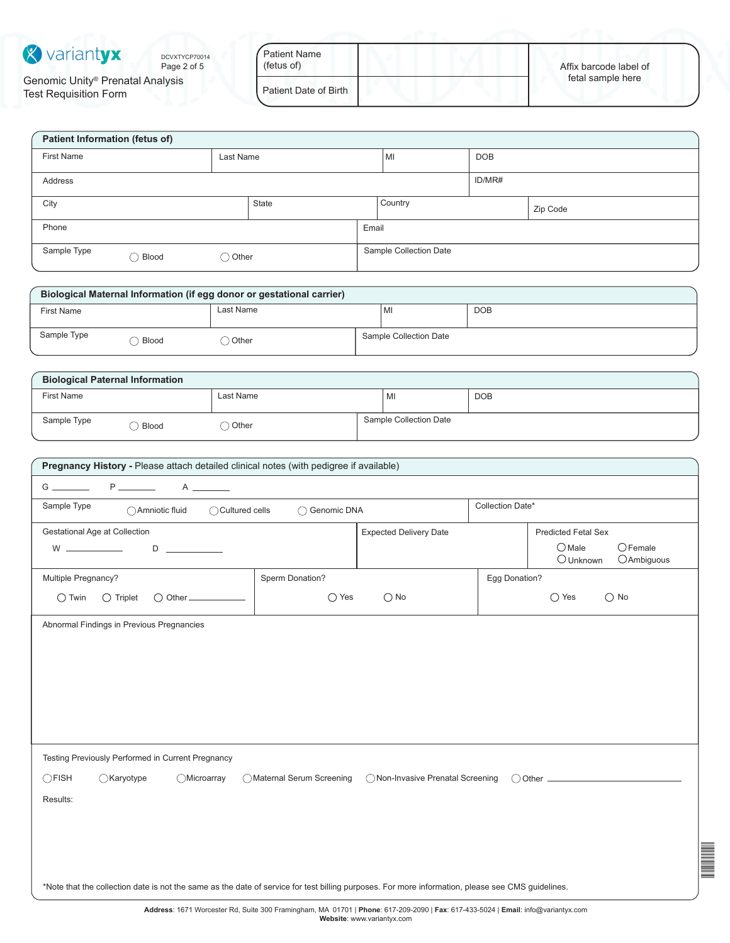

Genomic Unity® Prenatal Analysis Test Requisition Form

| <b>Patient Name</b><br>(fetus of) | Affix barcode label of |
|-----------------------------------|------------------------|
| Patient Date of Birth             | fetal sample here      |

| Patient Information (fetus of)                      |           |  |         |                        |        |          |
|-----------------------------------------------------|-----------|--|---------|------------------------|--------|----------|
| First Name                                          | Last Name |  |         | <b>DOB</b><br>MI       |        |          |
| Address                                             |           |  |         |                        | ID/MR# |          |
| State<br>City                                       |           |  | Country |                        |        | Zip Code |
| Phone                                               |           |  | Email   |                        |        |          |
| Sample Type<br>$\bigcirc$ Other<br>$\bigcirc$ Blood |           |  |         | Sample Collection Date |        |          |

| Biological Maternal Information (if egg donor or gestational carrier) |       |           |  |                        |            |  |
|-----------------------------------------------------------------------|-------|-----------|--|------------------------|------------|--|
| <b>First Name</b>                                                     |       | Last Name |  | MI                     | <b>DOB</b> |  |
| Sample Type                                                           | Blood | Other     |  | Sample Collection Date |            |  |

| <b>Biological Paternal Information</b> |       |           |  |                        |            |  |
|----------------------------------------|-------|-----------|--|------------------------|------------|--|
| <b>First Name</b>                      |       | Last Name |  | MI                     | <b>DOB</b> |  |
| Sample Type                            | Blood | Other     |  | Sample Collection Date |            |  |

| Pregnancy History - Please attach detailed clinical notes (with pedigree if available)                                                            |                                   |                                                                   |  |  |  |  |
|---------------------------------------------------------------------------------------------------------------------------------------------------|-----------------------------------|-------------------------------------------------------------------|--|--|--|--|
| $P \_$<br>$A \sim$                                                                                                                                |                                   |                                                                   |  |  |  |  |
| Collection Date*<br>Sample Type<br>◯ Genomic DNA<br>◯ Amniotic fluid<br>◯ Cultured cells                                                          |                                   |                                                                   |  |  |  |  |
| Gestational Age at Collection                                                                                                                     | <b>Expected Delivery Date</b>     | <b>Predicted Fetal Sex</b>                                        |  |  |  |  |
| $D \sim 1$<br>$W \longrightarrow 1$                                                                                                               |                                   | $O$ Male<br>$\bigcirc$ Female<br>$\bigcirc$ Unknown<br>OAmbiguous |  |  |  |  |
| Sperm Donation?<br>Multiple Pregnancy?                                                                                                            |                                   | Egg Donation?                                                     |  |  |  |  |
| $\bigcirc$ Yes<br>$\bigcirc$ Twin<br>$\bigcirc$ Triplet<br>$\bigcirc$ Other                                                                       | $\bigcirc$ No                     | $\bigcirc$ No<br>$\bigcirc$ Yes                                   |  |  |  |  |
| Abnormal Findings in Previous Pregnancies                                                                                                         |                                   |                                                                   |  |  |  |  |
|                                                                                                                                                   |                                   |                                                                   |  |  |  |  |
|                                                                                                                                                   |                                   |                                                                   |  |  |  |  |
|                                                                                                                                                   |                                   |                                                                   |  |  |  |  |
|                                                                                                                                                   |                                   |                                                                   |  |  |  |  |
|                                                                                                                                                   |                                   |                                                                   |  |  |  |  |
| Testing Previously Performed in Current Pregnancy                                                                                                 |                                   |                                                                   |  |  |  |  |
| $\bigcirc$ FISH<br>○Karyotype<br><b>OMicroarray</b><br>◯ Maternal Serum Screening                                                                 | ◯ Non-Invasive Prenatal Screening |                                                                   |  |  |  |  |
| Results:                                                                                                                                          |                                   |                                                                   |  |  |  |  |
|                                                                                                                                                   |                                   |                                                                   |  |  |  |  |
|                                                                                                                                                   |                                   |                                                                   |  |  |  |  |
|                                                                                                                                                   |                                   |                                                                   |  |  |  |  |
| *Note that the collection date is not the same as the date of service for test billing purposes. For more information, please see CMS guidelines. |                                   |                                                                   |  |  |  |  |

DCVXT<br>DOVOJNJE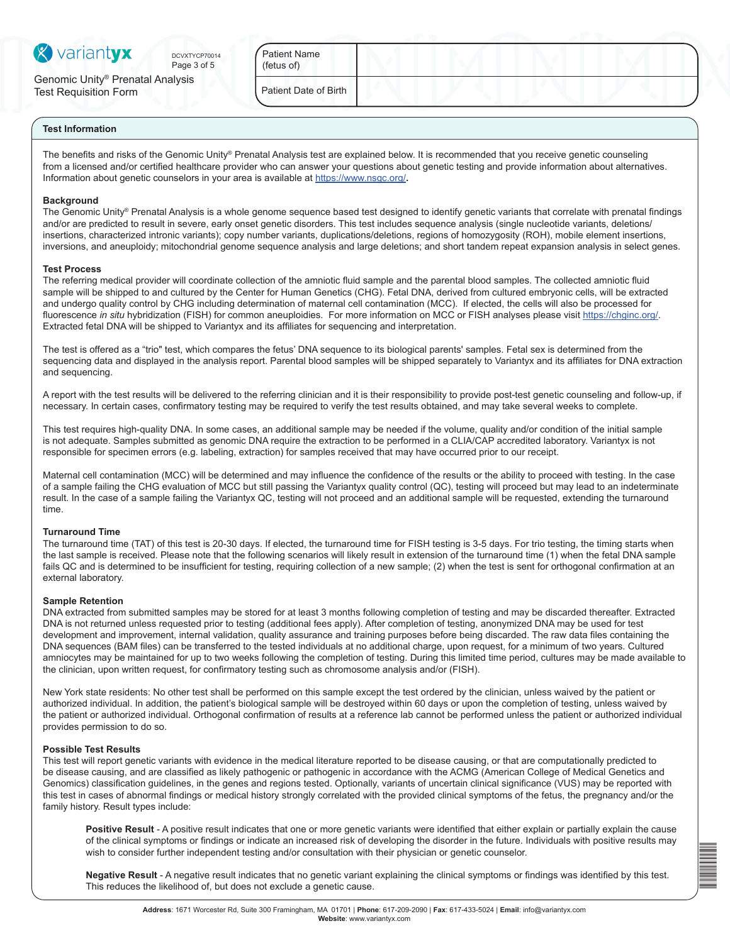

Page 3 of 5 DCVXTYCP70014 Patient Name

Genomic Unity® Prenatal Analysis Test Requisition Form

| Patient Name |  |
|--------------|--|
| (fetus of)   |  |

Patient Date of Birth

### **Test Information**

The benefits and risks of the Genomic Unity® Prenatal Analysis test are explained below. It is recommended that you receive genetic counseling from a licensed and/or certified healthcare provider who can answer your questions about genetic testing and provide information about alternatives. Information about genetic counselors in your area is available at <https://www.nsgc.org/>**.** 

### **Background**

The Genomic Unity® Prenatal Analysis is a whole genome sequence based test designed to identify genetic variants that correlate with prenatal findings and/or are predicted to result in severe, early onset genetic disorders. This test includes sequence analysis (single nucleotide variants, deletions/ insertions, characterized intronic variants); copy number variants, duplications/deletions, regions of homozygosity (ROH), mobile element insertions, inversions, and aneuploidy; mitochondrial genome sequence analysis and large deletions; and short tandem repeat expansion analysis in select genes.

#### **Test Process**

The referring medical provider will coordinate collection of the amniotic fluid sample and the parental blood samples. The collected amniotic fluid sample will be shipped to and cultured by the Center for Human Genetics (CHG). Fetal DNA, derived from cultured embryonic cells, will be extracted and undergo quality control by CHG including determination of maternal cell contamination (MCC). If elected, the cells will also be processed for fluorescence *in situ* hybridization (FISH) for common aneuploidies. For more information on MCC or FISH analyses please visit<https://chginc.org/>. Extracted fetal DNA will be shipped to Variantyx and its affiliates for sequencing and interpretation.

The test is offered as a "trio" test, which compares the fetus' DNA sequence to its biological parents' samples. Fetal sex is determined from the sequencing data and displayed in the analysis report. Parental blood samples will be shipped separately to Variantyx and its affiliates for DNA extraction and sequencing.

A report with the test results will be delivered to the referring clinician and it is their responsibility to provide post-test genetic counseling and follow-up, if necessary. In certain cases, confirmatory testing may be required to verify the test results obtained, and may take several weeks to complete.

This test requires high-quality DNA. In some cases, an additional sample may be needed if the volume, quality and/or condition of the initial sample is not adequate. Samples submitted as genomic DNA require the extraction to be performed in a CLIA/CAP accredited laboratory. Variantyx is not responsible for specimen errors (e.g. labeling, extraction) for samples received that may have occurred prior to our receipt.

Maternal cell contamination (MCC) will be determined and may influence the confidence of the results or the ability to proceed with testing. In the case of a sample failing the CHG evaluation of MCC but still passing the Variantyx quality control (QC), testing will proceed but may lead to an indeterminate result. In the case of a sample failing the Variantyx QC, testing will not proceed and an additional sample will be requested, extending the turnaround time.

### **Turnaround Time**

The turnaround time (TAT) of this test is 20-30 days. If elected, the turnaround time for FISH testing is 3-5 days. For trio testing, the timing starts when the last sample is received. Please note that the following scenarios will likely result in extension of the turnaround time (1) when the fetal DNA sample fails QC and is determined to be insufficient for testing, requiring collection of a new sample; (2) when the test is sent for orthogonal confirmation at an external laboratory.

### **Sample Retention**

DNA extracted from submitted samples may be stored for at least 3 months following completion of testing and may be discarded thereafter. Extracted DNA is not returned unless requested prior to testing (additional fees apply). After completion of testing, anonymized DNA may be used for test development and improvement, internal validation, quality assurance and training purposes before being discarded. The raw data files containing the DNA sequences (BAM files) can be transferred to the tested individuals at no additional charge, upon request, for a minimum of two years. Cultured amniocytes may be maintained for up to two weeks following the completion of testing. During this limited time period, cultures may be made available to the clinician, upon written request, for confirmatory testing such as chromosome analysis and/or (FISH).

New York state residents: No other test shall be performed on this sample except the test ordered by the clinician, unless waived by the patient or authorized individual. In addition, the patient's biological sample will be destroyed within 60 days or upon the completion of testing, unless waived by the patient or authorized individual. Orthogonal confirmation of results at a reference lab cannot be performed unless the patient or authorized individual provides permission to do so.

#### **Possible Test Results**

This test will report genetic variants with evidence in the medical literature reported to be disease causing, or that are computationally predicted to be disease causing, and are classified as likely pathogenic or pathogenic in accordance with the ACMG (American College of Medical Genetics and Genomics) classification guidelines, in the genes and regions tested. Optionally, variants of uncertain clinical significance (VUS) may be reported with this test in cases of abnormal findings or medical history strongly correlated with the provided clinical symptoms of the fetus, the pregnancy and/or the family history. Result types include:

**Positive Result** - A positive result indicates that one or more genetic variants were identified that either explain or partially explain the cause of the clinical symptoms or findings or indicate an increased risk of developing the disorder in the future. Individuals with positive results may wish to consider further independent testing and/or consultation with their physician or genetic counselor.

**Negative Result** - A negative result indicates that no genetic variant explaining the clinical symptoms or findings was identified by this test. This reduces the likelihood of, but does not exclude a genetic cause.

DCVXTV<br>DCVXTV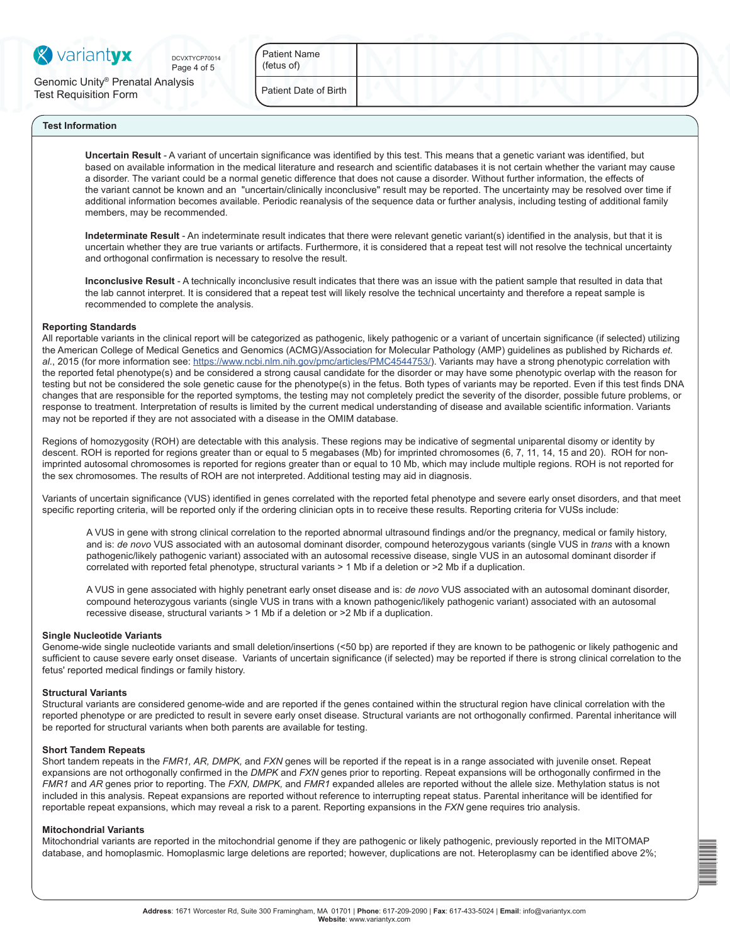

Page 4 of 5

Genomic Unity® Prenatal Analysis Test Requisition Form

DCVXTYCP70014 Patient Name (fetus of)

Patient Date of Birth

# **Test Information**

**Uncertain Result** - A variant of uncertain significance was identified by this test. This means that a genetic variant was identified, but based on available information in the medical literature and research and scientific databases it is not certain whether the variant may cause a disorder. The variant could be a normal genetic difference that does not cause a disorder. Without further information, the effects of the variant cannot be known and an "uncertain/clinically inconclusive" result may be reported. The uncertainty may be resolved over time if additional information becomes available. Periodic reanalysis of the sequence data or further analysis, including testing of additional family members, may be recommended.

**Indeterminate Result** - An indeterminate result indicates that there were relevant genetic variant(s) identified in the analysis, but that it is uncertain whether they are true variants or artifacts. Furthermore, it is considered that a repeat test will not resolve the technical uncertainty and orthogonal confirmation is necessary to resolve the result.

**Inconclusive Result** - A technically inconclusive result indicates that there was an issue with the patient sample that resulted in data that the lab cannot interpret. It is considered that a repeat test will likely resolve the technical uncertainty and therefore a repeat sample is recommended to complete the analysis.

#### **Reporting Standards**

All reportable variants in the clinical report will be categorized as pathogenic, likely pathogenic or a variant of uncertain significance (if selected) utilizing the American College of Medical Genetics and Genomics (ACMG)/Association for Molecular Pathology (AMP) guidelines as published by Richards *et. al.*, 2015 (for more information see:<https://www.ncbi.nlm.nih.gov/pmc/articles/PMC4544753/>). Variants may have a strong phenotypic correlation with the reported fetal phenotype(s) and be considered a strong causal candidate for the disorder or may have some phenotypic overlap with the reason for testing but not be considered the sole genetic cause for the phenotype(s) in the fetus. Both types of variants may be reported. Even if this test finds DNA changes that are responsible for the reported symptoms, the testing may not completely predict the severity of the disorder, possible future problems, or response to treatment. Interpretation of results is limited by the current medical understanding of disease and available scientific information. Variants may not be reported if they are not associated with a disease in the OMIM database.

Regions of homozygosity (ROH) are detectable with this analysis. These regions may be indicative of segmental uniparental disomy or identity by descent. ROH is reported for regions greater than or equal to 5 megabases (Mb) for imprinted chromosomes (6, 7, 11, 14, 15 and 20). ROH for nonimprinted autosomal chromosomes is reported for regions greater than or equal to 10 Mb, which may include multiple regions. ROH is not reported for the sex chromosomes. The results of ROH are not interpreted. Additional testing may aid in diagnosis.

Variants of uncertain significance (VUS) identified in genes correlated with the reported fetal phenotype and severe early onset disorders, and that meet specific reporting criteria, will be reported only if the ordering clinician opts in to receive these results. Reporting criteria for VUSs include:

A VUS in gene with strong clinical correlation to the reported abnormal ultrasound findings and/or the pregnancy, medical or family history, and is: *de novo* VUS associated with an autosomal dominant disorder, compound heterozygous variants (single VUS in *trans* with a known pathogenic/likely pathogenic variant) associated with an autosomal recessive disease, single VUS in an autosomal dominant disorder if correlated with reported fetal phenotype, structural variants > 1 Mb if a deletion or >2 Mb if a duplication.

A VUS in gene associated with highly penetrant early onset disease and is: *de novo* VUS associated with an autosomal dominant disorder, compound heterozygous variants (single VUS in trans with a known pathogenic/likely pathogenic variant) associated with an autosomal recessive disease, structural variants > 1 Mb if a deletion or >2 Mb if a duplication.

### **Single Nucleotide Variants**

Genome-wide single nucleotide variants and small deletion/insertions (<50 bp) are reported if they are known to be pathogenic or likely pathogenic and sufficient to cause severe early onset disease. Variants of uncertain significance (if selected) may be reported if there is strong clinical correlation to the fetus' reported medical findings or family history.

#### **Structural Variants**

Structural variants are considered genome-wide and are reported if the genes contained within the structural region have clinical correlation with the reported phenotype or are predicted to result in severe early onset disease. Structural variants are not orthogonally confirmed. Parental inheritance will be reported for structural variants when both parents are available for testing.

#### **Short Tandem Repeats**

Short tandem repeats in the *FMR1, AR, DMPK,* and *FXN* genes will be reported if the repeat is in a range associated with juvenile onset. Repeat expansions are not orthogonally confirmed in the *DMPK* and *FXN* genes prior to reporting. Repeat expansions will be orthogonally confirmed in the *FMR1* and *AR* genes prior to reporting. The *FXN, DMPK,* and *FMR1* expanded alleles are reported without the allele size. Methylation status is not included in this analysis. Repeat expansions are reported without reference to interrupting repeat status. Parental inheritance will be identified for reportable repeat expansions, which may reveal a risk to a parent. Reporting expansions in the *FXN* gene requires trio analysis.

#### **Mitochondrial Variants**

Mitochondrial variants are reported in the mitochondrial genome if they are pathogenic or likely pathogenic, previously reported in the MITOMAP database, and homoplasmic. Homoplasmic large deletions are reported; however, duplications are not. Heteroplasmy can be identified above 2%;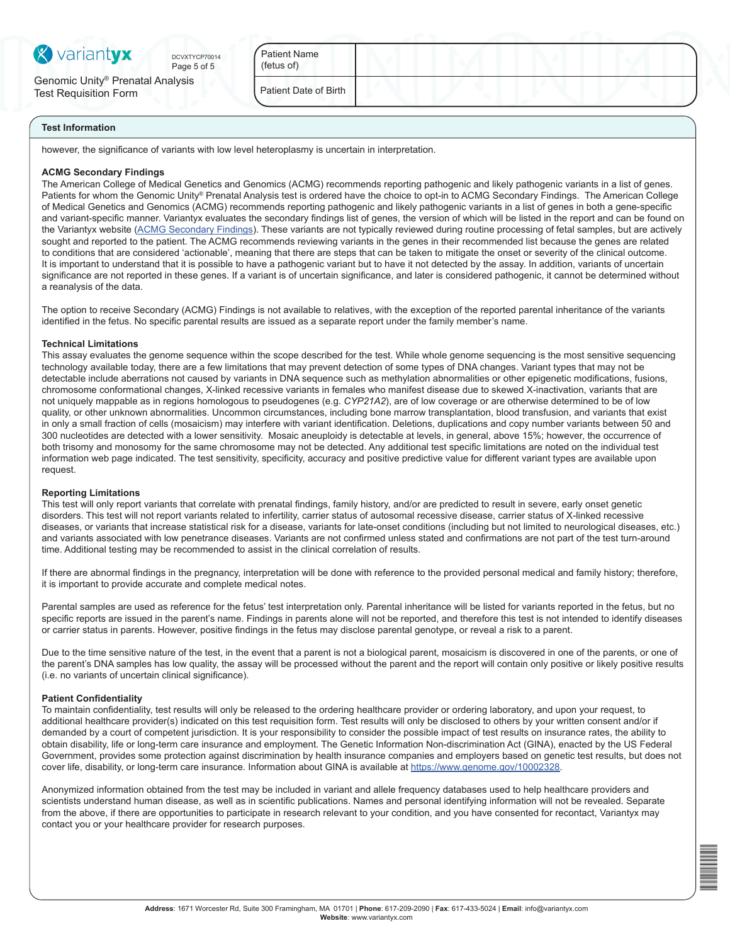

Page 5 of 5 DCVXTYCP70014

Genomic Unity® Prenatal Analysis Test Requisition Form

Patient Name (fetus of)

Patient Date of Birth

### **Test Information**

however, the significance of variants with low level heteroplasmy is uncertain in interpretation.

### **ACMG Secondary Findings**

The American College of Medical Genetics and Genomics (ACMG) recommends reporting pathogenic and likely pathogenic variants in a list of genes. Patients for whom the Genomic Unity® Prenatal Analysis test is ordered have the choice to opt-in to ACMG Secondary Findings. The American College of Medical Genetics and Genomics (ACMG) recommends reporting pathogenic and likely pathogenic variants in a list of genes in both a gene-specific and variant-specific manner. Variantyx evaluates the secondary findings list of genes, the version of which will be listed in the report and can be found on the Variantyx website [\(ACMG Secondary Findings](https://variantyx.com/resources/testing-policies/acmg-secondary-findings/)). These variants are not typically reviewed during routine processing of fetal samples, but are actively sought and reported to the patient. The ACMG recommends reviewing variants in the genes in their recommended list because the genes are related to conditions that are considered 'actionable', meaning that there are steps that can be taken to mitigate the onset or severity of the clinical outcome. It is important to understand that it is possible to have a pathogenic variant but to have it not detected by the assay. In addition, variants of uncertain significance are not reported in these genes. If a variant is of uncertain significance, and later is considered pathogenic, it cannot be determined without a reanalysis of the data.

The option to receive Secondary (ACMG) Findings is not available to relatives, with the exception of the reported parental inheritance of the variants identified in the fetus. No specific parental results are issued as a separate report under the family member's name.

## **Technical Limitations**

This assay evaluates the genome sequence within the scope described for the test. While whole genome sequencing is the most sensitive sequencing technology available today, there are a few limitations that may prevent detection of some types of DNA changes. Variant types that may not be detectable include aberrations not caused by variants in DNA sequence such as methylation abnormalities or other epigenetic modifications, fusions, chromosome conformational changes, X-linked recessive variants in females who manifest disease due to skewed X-inactivation, variants that are not uniquely mappable as in regions homologous to pseudogenes (e.g. *CYP21A2*), are of low coverage or are otherwise determined to be of low quality, or other unknown abnormalities. Uncommon circumstances, including bone marrow transplantation, blood transfusion, and variants that exist in only a small fraction of cells (mosaicism) may interfere with variant identification. Deletions, duplications and copy number variants between 50 and 300 nucleotides are detected with a lower sensitivity. Mosaic aneuploidy is detectable at levels, in general, above 15%; however, the occurrence of both trisomy and monosomy for the same chromosome may not be detected. Any additional test specific limitations are noted on the individual test information web page indicated. The test sensitivity, specificity, accuracy and positive predictive value for different variant types are available upon request.

### **Reporting Limitations**

This test will only report variants that correlate with prenatal findings, family history, and/or are predicted to result in severe, early onset genetic disorders. This test will not report variants related to infertility, carrier status of autosomal recessive disease, carrier status of X-linked recessive diseases, or variants that increase statistical risk for a disease, variants for late-onset conditions (including but not limited to neurological diseases, etc.) and variants associated with low penetrance diseases. Variants are not confirmed unless stated and confirmations are not part of the test turn-around time. Additional testing may be recommended to assist in the clinical correlation of results.

If there are abnormal findings in the pregnancy, interpretation will be done with reference to the provided personal medical and family history; therefore, it is important to provide accurate and complete medical notes.

Parental samples are used as reference for the fetus' test interpretation only. Parental inheritance will be listed for variants reported in the fetus, but no specific reports are issued in the parent's name. Findings in parents alone will not be reported, and therefore this test is not intended to identify diseases or carrier status in parents. However, positive findings in the fetus may disclose parental genotype, or reveal a risk to a parent.

Due to the time sensitive nature of the test, in the event that a parent is not a biological parent, mosaicism is discovered in one of the parents, or one of the parent's DNA samples has low quality, the assay will be processed without the parent and the report will contain only positive or likely positive results (i.e. no variants of uncertain clinical significance).

### **Patient Confidentiality**

To maintain confidentiality, test results will only be released to the ordering healthcare provider or ordering laboratory, and upon your request, to additional healthcare provider(s) indicated on this test requisition form. Test results will only be disclosed to others by your written consent and/or if demanded by a court of competent jurisdiction. It is your responsibility to consider the possible impact of test results on insurance rates, the ability to obtain disability, life or long-term care insurance and employment. The Genetic Information Non-discrimination Act (GINA), enacted by the US Federal Government, provides some protection against discrimination by health insurance companies and employers based on genetic test results, but does not cover life, disability, or long-term care insurance. Information about GINA is available at [https://www.genome.gov/10002328.](https://www.genome.gov/10002328)

Anonymized information obtained from the test may be included in variant and allele frequency databases used to help healthcare providers and scientists understand human disease, as well as in scientific publications. Names and personal identifying information will not be revealed. Separate from the above, if there are opportunities to participate in research relevant to your condition, and you have consented for recontact, Variantyx may contact you or your healthcare provider for research purposes.